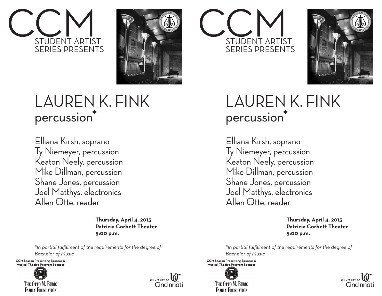



## LAUREN K. FINK percussion<sup>\*</sup>

Elliana Kirsh, soprano Ty Niemeyer, percussion Keaton Neely, percussion Mike Dillman, percussion Shane Jones, percussion Joel Matthys, electronics Allen Otte, reader

> **Thursday, April 4, 2013 Patricia Corbett Theater 5:00 p.m.**

*\*In partial fulfillment of the requirements for the degree of Bachelor of Music* 

**CCM Season Presenting Sponsor & Musical Theatre Program Sponsor**